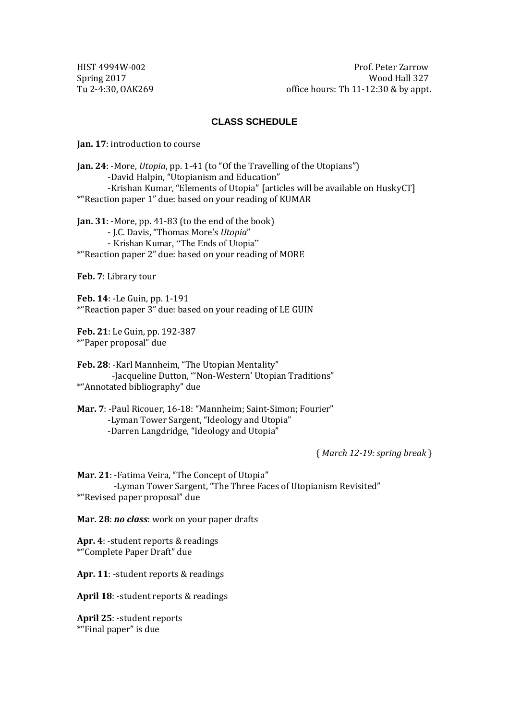HIST 4994W-002 Prof. Peter Zarrow Spring 2017<br>Tu 2-4:30, OAK269 *Degree of the Spring 2017* **Canadia** *Mood Hall 327*<br>Office hours: Th 11-12:30 & by appt. office hours: Th  $11-12:30$  & by appt.

### **CLASS SCHEDULE**

**Jan. 17**: introduction to course

**Jan. 24**: -More, *Utopia*, pp. 1-41 (to "Of the Travelling of the Utopians") -David Halpin, "Utopianism and Education" -Krishan Kumar, "Elements of Utopia" [articles will be available on HuskyCT] \*"Reaction paper 1" due: based on your reading of KUMAR

**Jan. 31**: -More, pp. 41-83 (to the end of the book) - J.C. Davis, "Thomas More's *Utopia*" - Krishan Kumar, "The Ends of Utopia" \*"Reaction paper 2" due: based on your reading of MORE

**Feb. 7**: Library tour

**Feb. 14**: -Le Guin, pp. 1-191 \*"Reaction paper 3" due: based on your reading of LE GUIN

**Feb. 21**: Le Guin, pp. 192-387 \*"Paper proposal" due

**Feb. 28**: -Karl Mannheim, "The Utopian Mentality" -Jacqueline Dutton, "'Non-Western' Utopian Traditions" \*"Annotated bibliography" due

**Mar. 7**: -Paul Ricouer, 16-18: "Mannheim; Saint-Simon; Fourier" -Lyman Tower Sargent, "Ideology and Utopia" -Darren Langdridge, "Ideology and Utopia"

{ *March 12-19: spring break* }

**Mar. 21**: -Fatima Veira, "The Concept of Utopia" -Lyman Tower Sargent, "The Three Faces of Utopianism Revisited" \*"Revised paper proposal" due

**Mar. 28**: *no class*: work on your paper drafts

**Apr. 4**: -student reports & readings \*"Complete Paper Draft" due

**Apr. 11**: -student reports & readings

**April 18**: -student reports & readings

**April 25**: -student reports \*"Final paper" is due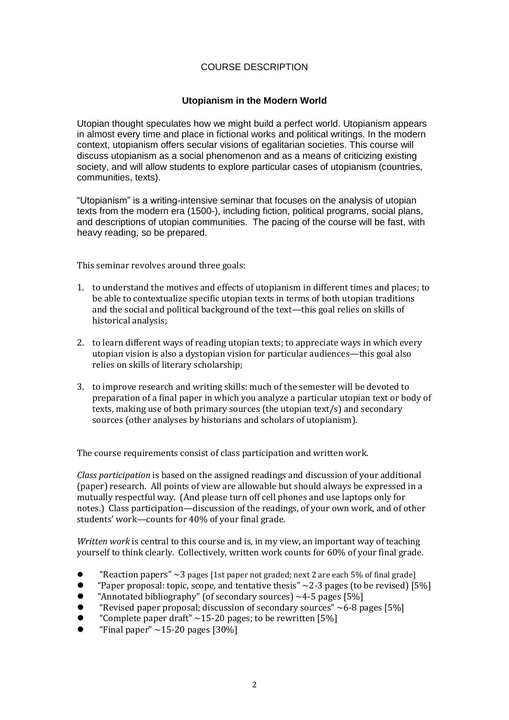## COURSE DESCRIPTION

# **Utopianism in the Modern World**

Utopian thought speculates how we might build a perfect world. Utopianism appears in almost every time and place in fictional works and political writings. In the modern context, utopianism offers secular visions of egalitarian societies. This course will discuss utopianism as a social phenomenon and as a means of criticizing existing society, and will allow students to explore particular cases of utopianism (countries, communities, texts).

"Utopianism" is a writing-intensive seminar that focuses on the analysis of utopian texts from the modern era (1500-), including fiction, political programs, social plans, and descriptions of utopian communities. The pacing of the course will be fast, with heavy reading, so be prepared.

This seminar revolves around three goals:

- 1. to understand the motives and effects of utopianism in different times and places; to be able to contextualize specific utopian texts in terms of both utopian traditions and the social and political background of the text—this goal relies on skills of historical analysis;
- 2. to learn different ways of reading utopian texts; to appreciate ways in which every utopian vision is also a dystopian vision for particular audiences—this goal also relies on skills of literary scholarship;
- 3. to improve research and writing skills: much of the semester will be devoted to preparation of a final paper in which you analyze a particular utopian text or body of texts, making use of both primary sources (the utopian text/s) and secondary sources (other analyses by historians and scholars of utopianism).

The course requirements consist of class participation and written work.

*Class participation* is based on the assigned readings and discussion of your additional (paper) research. All points of view are allowable but should always be expressed in a mutually respectful way. (And please turn off cell phones and use laptops only for notes.) Class participation—discussion of the readings, of your own work, and of other students' work—counts for 40% of your final grade.

*Written work* is central to this course and is, in my view, an important way of teaching yourself to think clearly. Collectively, written work counts for 60% of your final grade.

- "Reaction papers"  $\sim$ 3 pages [1st paper not graded; next 2 are each 5% of final grade]
- "Paper proposal: topic, scope, and tentative thesis"  $\sim$ 2-3 pages (to be revised) [5%]
- "Annotated bibliography" (of secondary sources)  $~1$ -5 pages [5%]
- "Revised paper proposal; discussion of secondary sources"  $\sim$  6-8 pages [5%]
- "Complete paper draft"  $\sim$  15-20 pages; to be rewritten [5%]
- "Final paper"  $\sim$ 15-20 pages [30%]